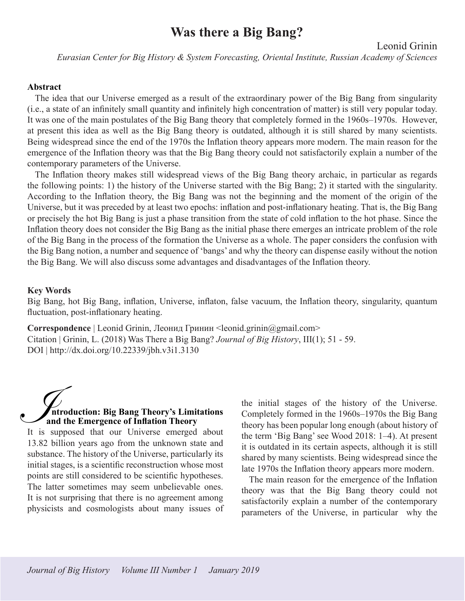# **Was there a Big Bang?**

Leonid Grinin

*Eurasian Center for Big History & System Forecasting, Oriental Institute, Russian Academy of Sciences*

#### **Abstract**

The idea that our Universe emerged as a result of the extraordinary power of the Big Bang from singularity (i.e., a state of an infinitely small quantity and infinitely high concentration of matter) is still very popular today. It was one of the main postulates of the Big Bang theory that completely formed in the 1960s–1970s. However, at present this idea as well as the Big Bang theory is outdated, although it is still shared by many scientists. Being widespread since the end of the 1970s the Inflation theory appears more modern. The main reason for the emergence of the Inflation theory was that the Big Bang theory could not satisfactorily explain a number of the contemporary parameters of the Universe.

The Inflation theory makes still widespread views of the Big Bang theory archaic, in particular as regards the following points: 1) the history of the Universe started with the Big Bang; 2) it started with the singularity. According to the Inflation theory, the Big Bang was not the beginning and the moment of the origin of the Universe, but it was preceded by at least two epochs: inflation and post-inflationary heating. That is, the Big Bang or precisely the hot Big Bang is just a phase transition from the state of cold inflation to the hot phase. Since the Inflation theory does not consider the Big Bang as the initial phase there emerges an intricate problem of the role of the Big Bang in the process of the formation the Universe as a whole. The paper considers the confusion with the Big Bang notion, a number and sequence of 'bangs' and why the theory can dispense easily without the notion the Big Bang. We will also discuss some advantages and disadvantages of the Inflation theory.

#### **Key Words**

Big Bang, hot Big Bang, inflation, Universe, inflaton, false vacuum, the Inflation theory, singularity, quantum fluctuation, post-inflationary heating.

**Correspondence** | Leonid Grinin, Леонид Гринин <leonid.grinin@gmail.com> Citation | Grinin, L. (2018) Was There a Big Bang? *Journal of Big History*, III(1); 51 - 59. DOI | http://dx.doi.org/10.22339/jbh.v3i1.3130

# **ntroduction: Big Bang Theory's Limitations and the Emergence of Inflation Theory**  $\sum_{\text{It is a}}$

It is supposed that our Universe emerged about 13.82 billion years ago from the unknown state and substance. The history of the Universe, particularly its initial stages, is a scientific reconstruction whose most points are still considered to be scientific hypotheses. The latter sometimes may seem unbelievable ones. It is not surprising that there is no agreement among physicists and cosmologists about many issues of the initial stages of the history of the Universe. Completely formed in the 1960s–1970s the Big Bang theory has been popular long enough (about history of the term 'Big Bang' see Wood 2018: 1–4). At present it is outdated in its certain aspects, although it is still shared by many scientists. Being widespread since the late 1970s the Inflation theory appears more modern.

The main reason for the emergence of the Inflation theory was that the Big Bang theory could not satisfactorily explain a number of the contemporary parameters of the Universe, in particular why the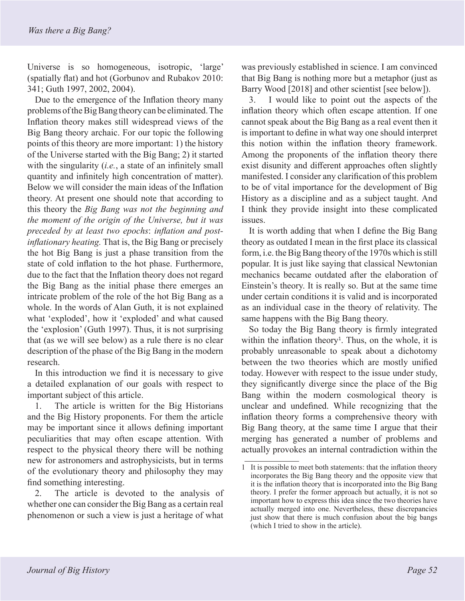Universe is so homogeneous, isotropic, 'large' (spatially flat) and hot (Gorbunov and Rubakov 2010: 341; Guth 1997, 2002, 2004).

Due to the emergence of the Inflation theory many problems of the Big Bang theory can be eliminated. The Inflation theory makes still widespread views of the Big Bang theory archaic. For our topic the following points of this theory are more important: 1) the history of the Universe started with the Big Bang; 2) it started with the singularity (*i.e.*, a state of an infinitely small quantity and infinitely high concentration of matter). Below we will consider the main ideas of the Inflation theory. At present one should note that according to this theory the *Big Bang was not the beginning and the moment of the origin of the Universe, but it was preceded by at least two epochs*: *inflation and postinflationary heating.* That is, the Big Bang or precisely the hot Big Bang is just a phase transition from the state of cold inflation to the hot phase. Furthermore, due to the fact that the Inflation theory does not regard the Big Bang as the initial phase there emerges an intricate problem of the role of the hot Big Bang as a whole. In the words of Alan Guth, it is not explained what 'exploded', how it 'exploded' and what caused the 'explosion' (Guth 1997). Thus, it is not surprising that (as we will see below) as a rule there is no clear description of the phase of the Big Bang in the modern research.

In this introduction we find it is necessary to give a detailed explanation of our goals with respect to important subject of this article.

1. The article is written for the Big Historians and the Big History proponents. For them the article may be important since it allows defining important peculiarities that may often escape attention. With respect to the physical theory there will be nothing new for astronomers and astrophysicists, but in terms of the evolutionary theory and philosophy they may find something interesting.

2. The article is devoted to the analysis of whether one can consider the Big Bang as a certain real phenomenon or such a view is just a heritage of what

was previously established in science. I am convinced that Big Bang is nothing more but a metaphor (just as Barry Wood [2018] and other scientist [see below]).

3. I would like to point out the aspects of the inflation theory which often escape attention. If one cannot speak about the Big Bang as a real event then it is important to define in what way one should interpret this notion within the inflation theory framework. Among the proponents of the inflation theory there exist disunity and different approaches often slightly manifested. I consider any clarification of this problem to be of vital importance for the development of Big History as a discipline and as a subject taught. And I think they provide insight into these complicated issues.

It is worth adding that when I define the Big Bang theory as outdated I mean in the first place its classical form, i.e. the Big Bang theory of the 1970s which is still popular. It is just like saying that classical Newtonian mechanics became outdated after the elaboration of Einstein's theory. It is really so. But at the same time under certain conditions it is valid and is incorporated as an individual case in the theory of relativity. The same happens with the Big Bang theory.

So today the Big Bang theory is firmly integrated within the inflation theory<sup>1</sup>. Thus, on the whole, it is probably unreasonable to speak about a dichotomy between the two theories which are mostly unified today. However with respect to the issue under study, they significantly diverge since the place of the Big Bang within the modern cosmological theory is unclear and undefined. While recognizing that the inflation theory forms a comprehensive theory with Big Bang theory, at the same time I argue that their merging has generated a number of problems and actually provokes an internal contradiction within the

<sup>1</sup> It is possible to meet both statements: that the inflation theory incorporates the Big Bang theory and the opposite view that it is the inflation theory that is incorporated into the Big Bang theory. I prefer the former approach but actually, it is not so important how to express this idea since the two theories have actually merged into one. Nevertheless, these discrepancies just show that there is much confusion about the big bangs (which I tried to show in the article).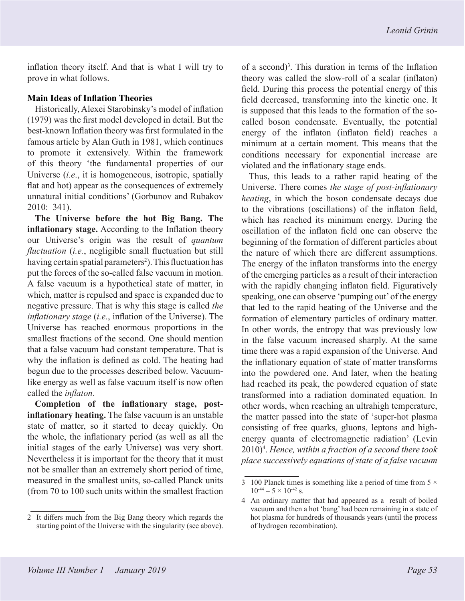inflation theory itself. And that is what I will try to prove in what follows.

### **Main Ideas of Inflation Theories**

Historically, Alexei Starobinsky's model of inflation (1979) was the first model developed in detail. But the best-known Inflation theory was first formulated in the famous article by Alan Guth in 1981, which continues to promote it extensively. Within the framework of this theory 'the fundamental properties of our Universe (*i.e*., it is homogeneous, isotropic, spatially flat and hot) appear as the consequences of extremely unnatural initial conditions' (Gorbunov and Rubakov 2010: 341).

**The Universe before the hot Big Bang. The inflationary stage.** According to the Inflation theory our Universe's origin was the result of *quantum fluctuation* (*i.e.*, negligible small fluctuation but still having certain spatial parameters<sup>2</sup>). This fluctuation has put the forces of the so-called false vacuum in motion. A false vacuum is a hypothetical state of matter, in which, matter is repulsed and space is expanded due to negative pressure. That is why this stage is called *the inflationary stage* (*i.e.*, inflation of the Universe). The Universe has reached enormous proportions in the smallest fractions of the second. One should mention that a false vacuum had constant temperature. That is why the inflation is defined as cold. The heating had begun due to the processes described below. Vacuumlike energy as well as false vacuum itself is now often called the *inflaton*.

**Completion of the inflationary stage, postinflationary heating.** The false vacuum is an unstable state of matter, so it started to decay quickly. On the whole, the inflationary period (as well as all the initial stages of the early Universe) was very short. Nevertheless it is important for the theory that it must not be smaller than an extremely short period of time, measured in the smallest units, so-called Planck units (from 70 to 100 such units within the smallest fraction of a second)<sup>3</sup>. This duration in terms of the Inflation theory was called the slow-roll of a scalar (inflaton) field. During this process the potential energy of this field decreased, transforming into the kinetic one. It is supposed that this leads to the formation of the socalled boson condensate. Eventually, the potential energy of the inflaton (inflaton field) reaches a minimum at a certain moment. This means that the conditions necessary for exponential increase are violated and the inflationary stage ends.

Thus, this leads to a rather rapid heating of the Universe. There comes *the stage of post-inflationary heating*, in which the boson condensate decays due to the vibrations (oscillations) of the inflaton field, which has reached its minimum energy. During the oscillation of the inflaton field one can observe the beginning of the formation of different particles about the nature of which there are different assumptions. The energy of the inflaton transforms into the energy of the emerging particles as a result of their interaction with the rapidly changing inflaton field. Figuratively speaking, one can observe 'pumping out' of the energy that led to the rapid heating of the Universe and the formation of elementary particles of ordinary matter. In other words, the entropy that was previously low in the false vacuum increased sharply. At the same time there was a rapid expansion of the Universe. And the inflationary equation of state of matter transforms into the powdered one. And later, when the heating had reached its peak, the powdered equation of state transformed into a radiation dominated equation. In other words, when reaching an ultrahigh temperature, the matter passed into the state of 'super-hot plasma consisting of free quarks, gluons, leptons and highenergy quanta of electromagnetic radiation' (Levin 2010)4 . *Hence, within a fraction of a second there took place successively equations of state of a false vacuum* 

<sup>2</sup> It differs much from the Big Bang theory which regards the starting point of the Universe with the singularity (see above).

<sup>3 100</sup> Planck times is something like a period of time from  $5 \times$  $10^{-44} - 5 \times 10^{-42}$  s.

<sup>4</sup> An ordinary matter that had appeared as a result of boiled vacuum and then a hot 'bang' had been remaining in a state of hot plasma for hundreds of thousands years (until the process of hydrogen recombination).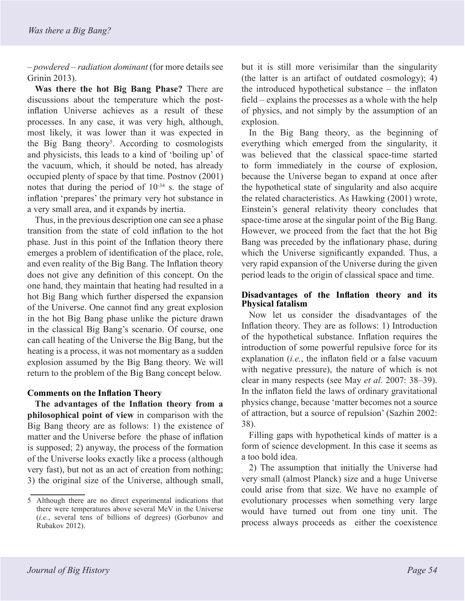*– powdered – radiation dominant* (for more details see Grinin 2013).

**Was there the hot Big Bang Phase?** There are discussions about the temperature which the postinflation Universe achieves as a result of these processes. In any case, it was very high, although, most likely, it was lower than it was expected in the Big Bang theory<sup>5</sup>. According to cosmologists and physicists, this leads to a kind of 'boiling up' of the vacuum, which, it should be noted, has already occupied plenty of space by that time. Postnov (2001) notes that during the period of  $10^{-34}$  s. the stage of inflation 'prepares' the primary very hot substance in a very small area, and it expands by inertia.

Thus, in the previous description one can see a phase transition from the state of cold inflation to the hot phase. Just in this point of the Inflation theory there emerges a problem of identification of the place, role, and even reality of the Big Bang. The Inflation theory does not give any definition of this concept. On the one hand, they maintain that heating had resulted in a hot Big Bang which further dispersed the expansion of the Universe. One cannot find any great explosion in the hot Big Bang phase unlike the picture drawn in the classical Big Bang's scenario. Of course, one can call heating of the Universe the Big Bang, but the heating is a process, it was not momentary as a sudden explosion assumed by the Big Bang theory. We will return to the problem of the Big Bang concept below.

# **Comments on the Inflation Theory**

**The advantages of the Inflation theory from a philosophical point of view** in comparison with the Big Bang theory are as follows: 1) the existence of matter and the Universe before the phase of inflation is supposed; 2) anyway, the process of the formation of the Universe looks exactly like a process (although very fast), but not as an act of creation from nothing; 3) the original size of the Universe, although small,

but it is still more verisimilar than the singularity (the latter is an artifact of outdated cosmology); 4) the introduced hypothetical substance – the inflaton field – explains the processes as a whole with the help of physics, and not simply by the assumption of an explosion.

In the Big Bang theory, as the beginning of everything which emerged from the singularity, it was believed that the classical space-time started to form immediately in the course of explosion, because the Universe began to expand at once after the hypothetical state of singularity and also acquire the related characteristics. As Hawking (2001) wrote, Einstein's general relativity theory concludes that space-time arose at the singular point of the Big Bang. However, we proceed from the fact that the hot Big Bang was preceded by the inflationary phase, during which the Universe significantly expanded. Thus, a very rapid expansion of the Universe during the given period leads to the origin of classical space and time.

#### **Disadvantages of the Inflation theory and its Physical fatalism**

Now let us consider the disadvantages of the Inflation theory. They are as follows: 1) Introduction of the hypothetical substance. Inflation requires the introduction of some powerful repulsive force for its explanation (*i.e.*, the inflaton field or a false vacuum with negative pressure), the nature of which is not clear in many respects (see May *et al.* 2007: 38–39). In the inflaton field the laws of ordinary gravitational physics change, because 'matter becomes not a source of attraction, but a source of repulsion' (Sazhin 2002: 38).

Filling gaps with hypothetical kinds of matter is a form of science development. In this case it seems as a too bold idea.

2) The assumption that initially the Universe had very small (almost Planck) size and a huge Universe could arise from that size. We have no example of evolutionary processes when something very large would have turned out from one tiny unit. The process always proceeds as either the coexistence

<sup>5</sup> Although there are no direct experimental indications that there were temperatures above several MeV in the Universe (*i.e.*, several tens of billions of degrees) (Gorbunov and Rubakov 2012).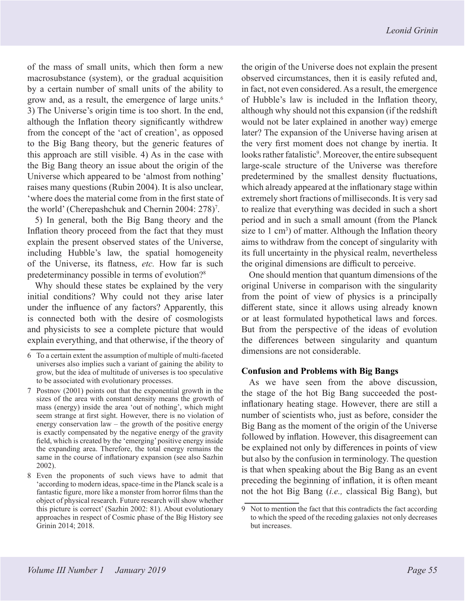of the mass of small units, which then form a new macrosubstance (system), or the gradual acquisition by a certain number of small units of the ability to grow and, as a result, the emergence of large units.<sup>6</sup> 3) The Universe's origin time is too short. In the end, although the Inflation theory significantly withdrew from the concept of the 'act of creation', as opposed to the Big Bang theory, but the generic features of this approach are still visible. 4) As in the case with the Big Bang theory an issue about the origin of the Universe which appeared to be 'almost from nothing' raises many questions (Rubin 2004). It is also unclear, 'where does the material come from in the first state of the world' (Cherepashchuk and Chernin 2004: 278)7 .

5) In general, both the Big Bang theory and the Inflation theory proceed from the fact that they must explain the present observed states of the Universe, including Hubble's law, the spatial homogeneity of the Universe, its flatness, *etc.* How far is such predeterminancy possible in terms of evolution?8

Why should these states be explained by the very initial conditions? Why could not they arise later under the influence of any factors? Apparently, this is connected both with the desire of cosmologists and physicists to see a complete picture that would explain everything, and that otherwise, if the theory of the origin of the Universe does not explain the present observed circumstances, then it is easily refuted and, in fact, not even considered. As a result, the emergence of Hubble's law is included in the Inflation theory, although why should not this expansion (if the redshift would not be later explained in another way) emerge later? The expansion of the Universe having arisen at the very first moment does not change by inertia. It looks rather fatalistic<sup>9</sup>. Moreover, the entire subsequent large-scale structure of the Universe was therefore predetermined by the smallest density fluctuations, which already appeared at the inflationary stage within extremely short fractions of milliseconds. It is very sad to realize that everything was decided in such a short period and in such a small amount (from the Planck size to  $1 \text{ cm}^3$ ) of matter. Although the Inflation theory aims to withdraw from the concept of singularity with its full uncertainty in the physical realm, nevertheless the original dimensions are difficult to perceive.

One should mention that quantum dimensions of the original Universe in comparison with the singularity from the point of view of physics is a principally different state, since it allows using already known or at least formulated hypothetical laws and forces. But from the perspective of the ideas of evolution the differences between singularity and quantum dimensions are not considerable.

# **Confusion and Problems with Big Bangs**

As we have seen from the above discussion, the stage of the hot Big Bang succeeded the postinflationary heating stage. However, there are still a number of scientists who, just as before, consider the Big Bang as the moment of the origin of the Universe followed by inflation. However, this disagreement can be explained not only by differences in points of view but also by the confusion in terminology. The question is that when speaking about the Big Bang as an event preceding the beginning of inflation, it is often meant not the hot Big Bang (*i.e.,* classical Big Bang), but

<sup>6</sup> To a certain extent the assumption of multiple of multi-faceted universes also implies such a variant of gaining the ability to grow, but the idea of multitude of universes is too speculative to be associated with evolutionary processes.

<sup>7</sup> Postnov (2001) points out that the exponential growth in the sizes of the area with constant density means the growth of mass (energy) inside the area 'out of nothing', which might seem strange at first sight. However, there is no violation of energy conservation  $law - the$  growth of the positive energy is exactly compensated by the negative energy of the gravity field, which is created by the 'emerging' positive energy inside the expanding area. Therefore, the total energy remains the same in the course of inflationary expansion (see also Sazhin 2002).

<sup>8</sup> Even the proponents of such views have to admit that 'according to modern ideas, space-time in the Planck scale is a fantastic figure, more like a monster from horror films than the object of physical research. Future research will show whether this picture is correct' (Sazhin 2002: 81). About evolutionary approaches in respect of Cosmic phase of the Big History see Grinin 2014; 2018.

<sup>9</sup> Not to mention the fact that this contradicts the fact according to which the speed of the receding [galaxies](https://en.wikipedia.org/wiki/Galaxy) not only decreases but increases.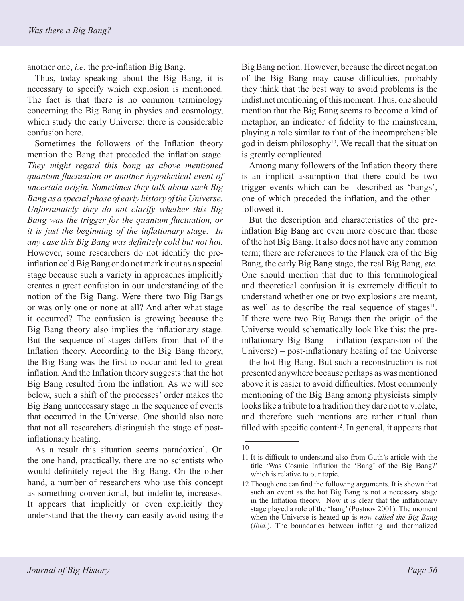another one, *i.e.* the pre-inflation Big Bang.

Thus, today speaking about the Big Bang, it is necessary to specify which explosion is mentioned. The fact is that there is no common terminology concerning the Big Bang in physics and cosmology, which study the early Universe: there is considerable confusion here.

Sometimes the followers of the Inflation theory mention the Bang that preceded the inflation stage. *They might regard this bang as above mentioned quantum fluctuation or another hypothetical event of uncertain origin. Sometimes they talk about such Big Bang as a special phase of early history of the Universe. Unfortunately they do not clarify whether this Big Bang was the trigger for the quantum fluctuation, or it is just the beginning of the inflationary stage. In any case this Big Bang was definitely cold but not hot.*  However, some researchers do not identify the preinflation cold Big Bang or do not mark it out as a special stage because such a variety in approaches implicitly creates a great confusion in our understanding of the notion of the Big Bang. Were there two Big Bangs or was only one or none at all? And after what stage it occurred? The confusion is growing because the Big Bang theory also implies the inflationary stage. But the sequence of stages differs from that of the Inflation theory. According to the Big Bang theory, the Big Bang was the first to occur and led to great inflation. And the Inflation theory suggests that the hot Big Bang resulted from the inflation. As we will see below, such a shift of the processes' order makes the Big Bang unnecessary stage in the sequence of events that occurred in the Universe. One should also note that not all researchers distinguish the stage of postinflationary heating.

As a result this situation seems paradoxical. On the one hand, practically, there are no scientists who would definitely reject the Big Bang. On the other hand, a number of researchers who use this concept as something conventional, but indefinite, increases. It appears that implicitly or even explicitly they understand that the theory can easily avoid using the

Big Bang notion. However, because the direct negation of the Big Bang may cause difficulties, probably they think that the best way to avoid problems is the indistinct mentioning of this moment. Thus, one should mention that the Big Bang seems to become a kind of metaphor, an indicator of fidelity to the mainstream, playing a role similar to that of the incomprehensible god in deism philosophy $10$ . We recall that the situation is greatly complicated.

Among many followers of the Inflation theory there is an implicit assumption that there could be two trigger events which can be described as 'bangs', one of which preceded the inflation, and the other – followed it.

But the description and characteristics of the preinflation Big Bang are even more obscure than those of the hot Big Bang. It also does not have any common term; there are references to the Planck era of the Big Bang, the early Big Bang stage, the real Big Bang, *etc.* One should mention that due to this terminological and theoretical confusion it is extremely difficult to understand whether one or two explosions are meant, as well as to describe the real sequence of stages $11$ . If there were two Big Bangs then the origin of the Universe would schematically look like this: the preinflationary Big Bang – inflation (expansion of the Universe) – post-inflationary heating of the Universe – the hot Big Bang. But such a reconstruction is not presented anywhere because perhaps as was mentioned above it is easier to avoid difficulties. Most commonly mentioning of the Big Bang among physicists simply looks like a tribute to a tradition they dare not to violate, and therefore such mentions are rather ritual than filled with specific content<sup>12</sup>. In general, it appears that

<sup>10</sup>

<sup>11</sup> It is difficult to understand also from Guth's article with the title 'Was Cosmic Inflation the 'Bang' of the Big Bang?' which is relative to our topic.

<sup>12</sup> Though one can find the following arguments. It is shown that such an event as the hot Big Bang is not a necessary stage in the Inflation theory. Now it is clear that the inflationary stage played a role of the 'bang' (Postnov 2001). The moment when the Universe is heated up is *now called the Big Bang* (*Ibid.*). The boundaries between inflating and thermalized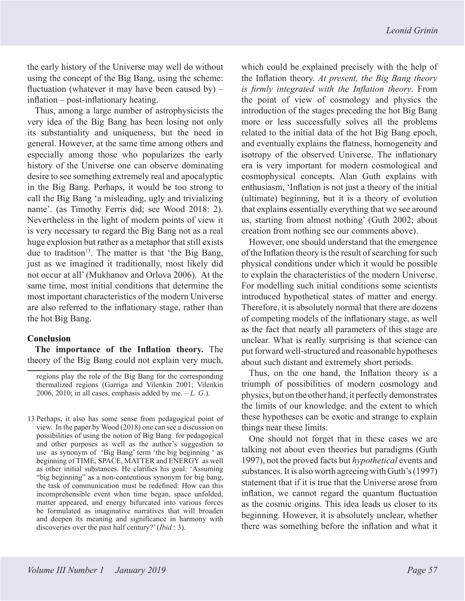the early history of the Universe may well do without using the concept of the Big Bang, using the scheme: fluctuation (whatever it may have been caused by)  $$ inflation – post-inflationary heating.

Thus, among a large number of astrophysicists the very idea of the Big Bang has been losing not only its substantiality and uniqueness, but the need in general. However, at the same time among others and especially among those who popularizes the early history of the Universe one can observe dominating desire to see something extremely real and apocalyptic in the Big Bang. Perhaps, it would be too strong to call the Big Bang 'a misleading, ugly and trivializing name'. (as Timothy Ferris did; see Wood 2018: 2). Nevertheless in the light of modern points of view it is very necessary to regard the Big Bang not as a real huge explosion but rather as a metaphor that still exists due to tradition<sup>13</sup>. The matter is that 'the Big Bang, just as we imagined it traditionally, most likely did not occur at all' (Mukhanov and Orlova 2006). At the same time, most initial conditions that determine the most important characteristics of the modern Universe are also referred to the inflationary stage, rather than the hot Big Bang.

#### **Conclusion**

**The importance of the Inflation theory.** The theory of the Big Bang could not explain very much,

regions play the role of the Big Bang for the corresponding thermalized regions (Garriga and Vilenkin 2001; Vilenkin 2006, 2010; in all cases, emphasis added by me.  $-L$ . *G*.).

13 Perhaps, it also has some sense from pedagogical point of view. In the paper by Wood (2018) one can see a discussion on possibilities of using the notion of Big Bang for pedagogical and other purposes as well as the author's suggestion to use as synonym of 'Big Bang' term 'the big beginning ' as beginning of TIME, SPACE, MATTER and ENERGY as well as other initial substances. He clarifies his goal: 'Assuming "big beginning" as a non-contentious synonym for big bang, the task of communication must be redefined: How can this incomprehensible event when time began, space unfolded, matter appeared, and energy bifurcated into various forces be formulated as imaginative narratives that will broaden and deepen its meaning and significance in harmony with discoveries over the past half century?' (*Ibid.*: 3).

which could be explained precisely with the help of the Inflation theory. *At present, the Big Bang theory is firmly integrated with the Inflation theory*. From the point of view of cosmology and physics the introduction of the stages preceding the hot Big Bang more or less successfully solves all the problems related to the initial data of the hot Big Bang epoch, and eventually explains the flatness, homogeneity and isotropy of the observed Universe. The inflationary era is very important for modern cosmological and cosmophysical concepts. Alan Guth explains with enthusiasm, 'Inflation is not just a theory of the initial (ultimate) beginning, but it is a theory of evolution that explains essentially everything that we see around us, starting from almost nothing' (Guth 2002; about creation from nothing see our comments above).

However, one should understand that the emergence of the Inflation theory is the result of searching for such physical conditions under which it would be possible to explain the characteristics of the modern Universe. For modelling such initial conditions some scientists introduced hypothetical states of matter and energy. Therefore, it is absolutely normal that there are dozens of competing models of the inflationary stage, as well as the fact that nearly all parameters of this stage are unclear. What is really surprising is that science can put forward well-structured and reasonable hypotheses about such distant and extremely short periods.

Thus, on the one hand, the Inflation theory is a triumph of possibilities of modern cosmology and physics, but on the other hand, it perfectly demonstrates the limits of our knowledge, and the extent to which these hypotheses can be exotic and strange to explain things near these limits.

One should not forget that in these cases we are talking not about even theories but paradigms (Guth 1997), not the proved facts but *hypothetical* events and substances. It is also worth agreeing with Guth's (1997) statement that if it is true that the Universe arose from inflation, we cannot regard the quantum fluctuation as the cosmic origins. This idea leads us closer to its beginning. However, it is absolutely unclear, whether there was something before the inflation and what it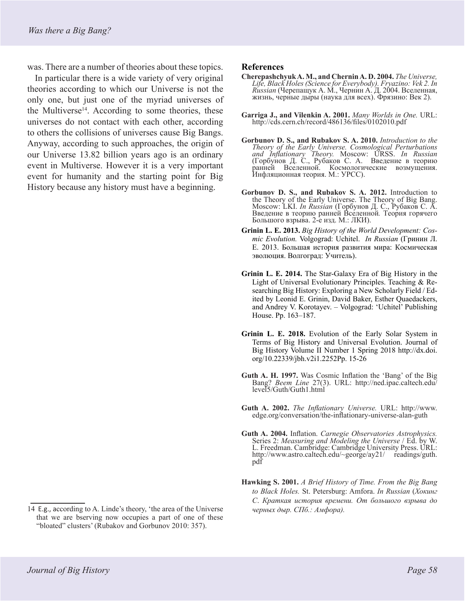was. There are a number of theories about these topics.

In particular there is a wide variety of very original theories according to which our Universe is not the only one, but just one of the myriad universes of the Multiverse<sup>14</sup>. According to some theories, these universes do not contact with each other, according to others the collisions of universes cause Big Bangs. Anyway, according to such approaches, the origin of our Universe 13.82 billion years ago is an ordinary event in Multiverse. However it is a very important event for humanity and the starting point for Big History because any history must have a beginning.

#### **References**

- **Cherepashchyuk A. M., and Chernin A. D. 2004.** *The Universe, Life, Black Holes (Science for Everybody). Fryazino: Vek 2. In Russian* (Черепащук А. М., Чернин А. Д. 2004. Вселенная, жизнь, черные дыры (наука для всех). Фрязино: Век 2).
- **Garriga J., and Vilenkin A. 2001.** *Many Worlds in One.* URL: http://cds.cern.ch/record/486136/files/0102010.pdf
- **Gorbunov D. S., and Rubakov S. A. 2010.** *Introduction to the Theory of the Early Universe. Cosmological Perturbations and Inflationary Theory.* Moscow: URSS. *In Russian*  (Горбунов Д. С., Рубаков С. А. Введение в теорию ранней Вселенной. Космологические возмущения. Инфляционная теория. М.: УРСС).
- **Gorbunov D. S., and Rubakov S. A. 2012.** Introduction to the Theory of the Early Universe. The Theory of Big Bang. Moscow: LKI. *In Russian* (Горбунов <sup>Д</sup>. С., Рубаков <sup>С</sup>. А. Введение <sup>в</sup> теорию ранней Вселенной*.* Теория горячего Большого взрыва. 2-е изд. М.: ЛКИ).
- **Grinin L. E. 2013.** *Big History of the World Development: Cosmic Evolution.* Volgograd: Uchitel. *In Russian* (Гринин Л. Е. 2013. Большая история развития мира: Космическая эволюция. Волгоград: Учитель).
- **Grinin L. E. 2014.** The Star-Galaxy Era of Big History in the Light of Universal Evolutionary Principles. Teaching & Researching Big History: Exploring a New Scholarly Field / Edited by Leonid E. Grinin, David Baker, Esther Quaedackers, and Andrey V. Korotayev. – Volgograd: 'Uchitel' Publishing House. Pp. 163–187.
- **Grinin L. E. 2018.** Evolution of the Early Solar System in Terms of Big History and Universal Evolution. Journal of Big History Volume II Number 1 Spring 2018 http://dx.doi. org/10.22339/jbh.v2i1.2252Pp. 15-26
- **Guth A. H. 1997.** Was Cosmic Inflation the 'Bang' of the Big Bang? *Beem Line* 27(3). URL: http://ned.ipac.caltech.edu/ level5/Guth/Guth1.html
- **[Guth](http://www.edge.org/memberbio/alan_guth) A. 2002.** *The Inflationary Universe.* URL: http://www. edge.org/conversation/the-inflationary-universe-alan-guth
- **[Guth](http://www.edge.org/memberbio/alan_guth) A. 2004.** Inflation. *Carnegie Observatories Astrophysics.*  Series 2: *Measuring and Modeling the Universe* / Ed. by W. L. Freedman. Cambridge: Cambridge University Press. URL: http://www.astro.caltech.edu/~george/ay21/ readings/guth. pdf
- **Hawking S. 2001.** *A Brief History of Time. From the Big Bang to Black Holes.* St. Petersburg: Amfora. *In Russian* (*Хокинг С*. *Краткая история времени. От большого взрыва до черных дыр. СПб.: Амфора).*

<sup>14</sup> E.g., according to A. Linde's theory, 'the area of the Universe that we are bserving now occupies a part of one of these "bloated" clusters' (Rubakov and Gorbunov 2010: 357).